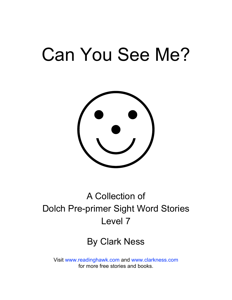# Can You See Me?



## A Collection of Dolch Pre-primer Sight Word Stories Level 7

## By Clark Ness

Visit [www.readinghawk.com](http://www.readinghawk.com) and [www.clarkness.com](http://www.clarkness.com) for more free stories and books.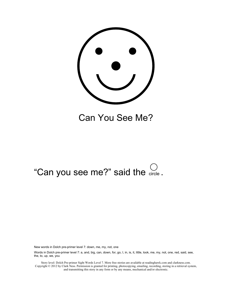

Can You See Me?

# "Can you see me?" said the  $\frac{C}{\text{circle}}$ .

New words in Dolch pre-primer level 7: down, me, my, not, one

Words in Dolch pre-primer level 7: a, and, big, can, down, for, go, I, in, is, it, little, look, me, my, not, one, red, said, see, the, to, up, we, you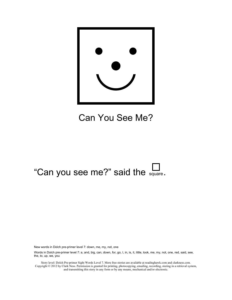

## Can You See Me?

## "Can you see me?" said the  $\frac{1}{\text{square}}$ .

New words in Dolch pre-primer level 7: down, me, my, not, one

Words in Dolch pre-primer level 7: a, and, big, can, down, for, go, I, in, is, it, little, look, me, my, not, one, red, said, see, the, to, up, we, you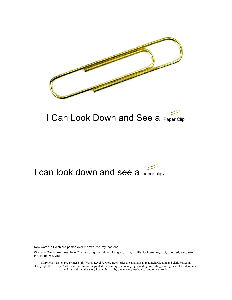

## I Can Look Down and See a Paper Clip

### I can look down and see a paper clip.

New words in Dolch pre-primer level 7: down, me, my, not, one

Words in Dolch pre-primer level 7: a, and, big, can, down, for, go, I, in, is, it, little, look, me, my, not, one, red, said, see, the, to, up, we, you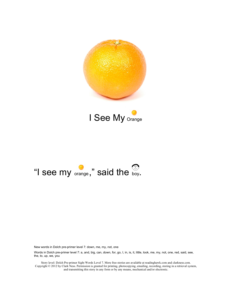

I See My <sub>Orange</sub>

![](_page_4_Picture_2.jpeg)

New words in Dolch pre-primer level 7: down, me, my, not, one

Words in Dolch pre-primer level 7: a, and, big, can, down, for, go, I, in, is, it, little, look, me, my, not, one, red, said, see, the, to, up, we, you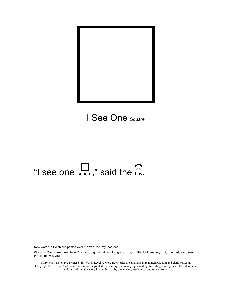![](_page_5_Picture_0.jpeg)

# "I see one  $\sum_{\text{square}}$ ," said the  $\sum_{\text{boy}}$ .

New words in Dolch pre-primer level 7: down, me, my, not, one

Words in Dolch pre-primer level 7: a, and, big, can, down, for, go, I, in, is, it, little, look, me, my, not, one, red, said, see, the, to, up, we, you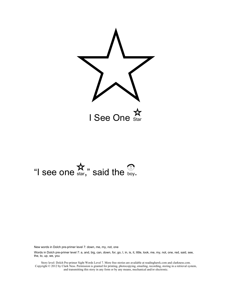![](_page_6_Picture_0.jpeg)

# I see one  $\mathbf{\hat{x}}$ ," said the  $\mathcal{D}$ .<br>"I see one  $\mathbf{\hat{x}}$ ," said the  $\mathcal{D}$ .

New words in Dolch pre-primer level 7: down, me, my, not, one

Words in Dolch pre-primer level 7: a, and, big, can, down, for, go, I, in, is, it, little, look, me, my, not, one, red, said, see, the, to, up, we, you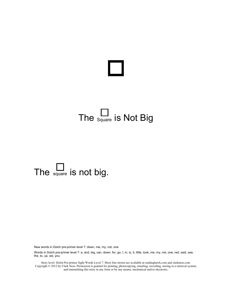## The  $S_{\text{quare}}$  is Not Big

# The  $\Box$  is not big.

New words in Dolch pre-primer level 7: down, me, my, not, one

Words in Dolch pre-primer level 7: a, and, big, can, down, for, go, I, in, is, it, little, look, me, my, not, one, red, said, see, the, to, up, we, you